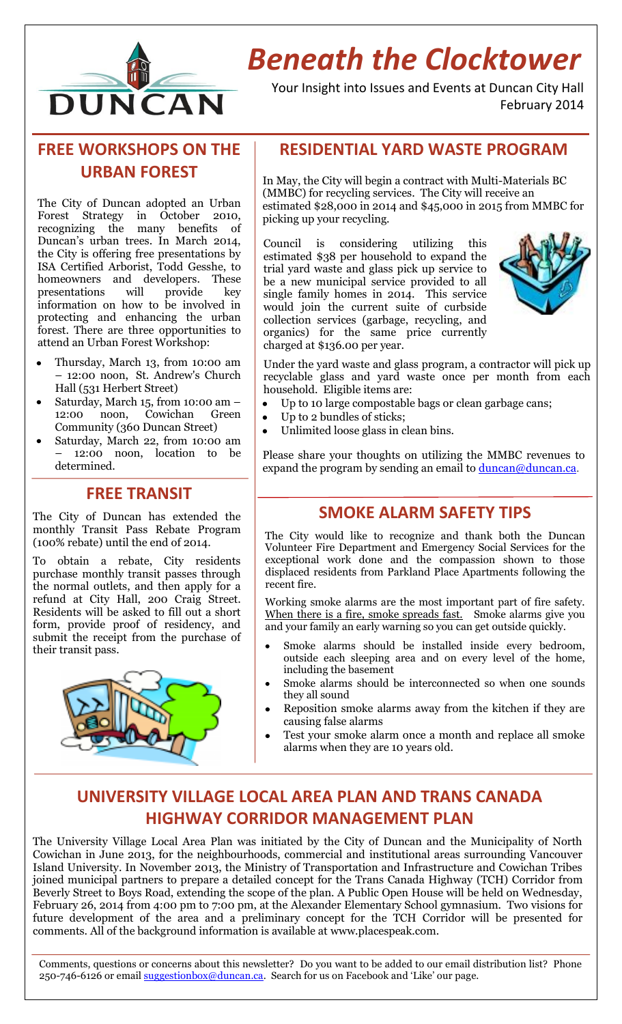

# *Beneath the Clocktower*

Your Insight into Issues and Events at Duncan City Hall February 2014

# **FREE WORKSHOPS ON THE URBAN FOREST**

The City of Duncan adopted an Urban Forest Strategy in October 2010, recognizing the many benefits of Duncan's urban trees. In March 2014, the City is offering free presentations by ISA Certified Arborist, Todd Gesshe, to homeowners and developers. These<br>presentations will provide kev presentations will provide key information on how to be involved in protecting and enhancing the urban forest. There are three opportunities to attend an Urban Forest Workshop:

- Thursday, March 13, from 10:00 am  $\bullet$ – 12:00 noon, St. Andrew's Church Hall (531 Herbert Street)
- Saturday, March 15, from 10:00 am 12:00 noon, Cowichan Green Community (360 Duncan Street)
- Saturday, March 22, from 10:00 am – 12:00 noon, location to be determined.

## **FREE TRANSIT**

The City of Duncan has extended the monthly Transit Pass Rebate Program (100% rebate) until the end of 2014.

To obtain a rebate, City residents purchase monthly transit passes through the normal outlets, and then apply for a refund at City Hall, 200 Craig Street. Residents will be asked to fill out a short form, provide proof of residency, and submit the receipt from the purchase of their transit pass.



## **RESIDENTIAL YARD WASTE PROGRAM**

In May, the City will begin a contract with Multi-Materials BC (MMBC) for recycling services. The City will receive an estimated \$28,000 in 2014 and \$45,000 in 2015 from MMBC for picking up your recycling.

Council is considering utilizing this estimated \$38 per household to expand the trial yard waste and glass pick up service to be a new municipal service provided to all single family homes in 2014. This service would join the current suite of curbside collection services (garbage, recycling, and organics) for the same price currently charged at \$136.00 per year.



Under the yard waste and glass program, a contractor will pick up recyclable glass and yard waste once per month from each household. Eligible items are:

- Up to 10 large compostable bags or clean garbage cans;  $\bullet$
- Up to 2 bundles of sticks;
- Unlimited loose glass in clean bins.

Please share your thoughts on utilizing the MMBC revenues to expand the program by sending an email to  $d$ uncan $\omega$ duncan.ca.

## **SMOKE ALARM SAFETY TIPS**

The City would like to recognize and thank both the Duncan Volunteer Fire Department and Emergency Social Services for the exceptional work done and the compassion shown to those displaced residents from Parkland Place Apartments following the recent fire.

Working smoke alarms are the most important part of fire safety. When there is a fire, smoke spreads fast. Smoke alarms give you and your family an early warning so you can get outside quickly.

- Smoke alarms should be installed inside every bedroom, outside each sleeping area and on every level of the home, including the basement
- Smoke alarms should be interconnected so when one sounds they all sound
- Reposition smoke alarms away from the kitchen if they are causing false alarms
- Test your smoke alarm once a month and replace all smoke alarms when they are 10 years old.

# **UNIVERSITY VILLAGE LOCAL AREA PLAN AND TRANS CANADA HIGHWAY CORRIDOR MANAGEMENT PLAN**

The University Village Local Area Plan was initiated by the City of Duncan and the Municipality of North Cowichan in June 2013, for the neighbourhoods, commercial and institutional areas surrounding Vancouver Island University. In November 2013, the Ministry of Transportation and Infrastructure and Cowichan Tribes joined municipal partners to prepare a detailed concept for the Trans Canada Highway (TCH) Corridor from Beverly Street to Boys Road, extending the scope of the plan. A Public Open House will be held on Wednesday, February 26, 2014 from 4:00 pm to 7:00 pm, at the Alexander Elementary School gymnasium. Two visions for future development of the area and a preliminary concept for the TCH Corridor will be presented for comments. All of the background information is available at [www.placespeak.com.](http://www.placespeak.com/)

Comments, questions or concerns about this newsletter? Do you want to be added to our email distribution list? Phone 250-746-6126 or email **suggestionbox@duncan.ca**. Search for us on Facebook and 'Like' our page.